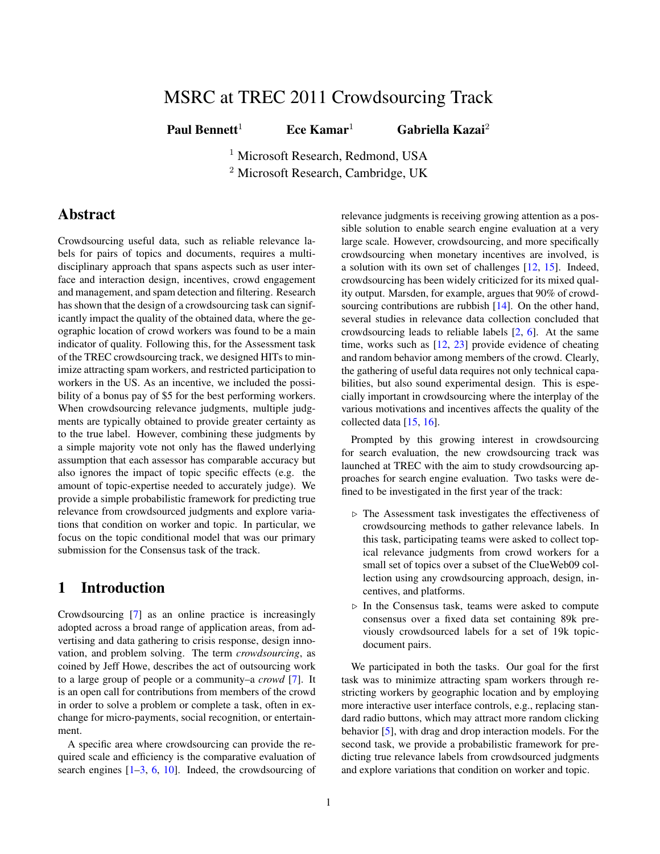# MSRC at TREC 2011 Crowdsourcing Track

Paul Bennett<sup>1</sup> Ece Kamar<sup>1</sup> Gabriella Kazai<sup>2</sup>

<sup>1</sup> Microsoft Research, Redmond, USA <sup>2</sup> Microsoft Research, Cambridge, UK

# Abstract

Crowdsourcing useful data, such as reliable relevance labels for pairs of topics and documents, requires a multidisciplinary approach that spans aspects such as user interface and interaction design, incentives, crowd engagement and management, and spam detection and filtering. Research has shown that the design of a crowdsourcing task can significantly impact the quality of the obtained data, where the geographic location of crowd workers was found to be a main indicator of quality. Following this, for the Assessment task of the TREC crowdsourcing track, we designed HITs to minimize attracting spam workers, and restricted participation to workers in the US. As an incentive, we included the possibility of a bonus pay of \$5 for the best performing workers. When crowdsourcing relevance judgments, multiple judgments are typically obtained to provide greater certainty as to the true label. However, combining these judgments by a simple majority vote not only has the flawed underlying assumption that each assessor has comparable accuracy but also ignores the impact of topic specific effects (e.g. the amount of topic-expertise needed to accurately judge). We provide a simple probabilistic framework for predicting true relevance from crowdsourced judgments and explore variations that condition on worker and topic. In particular, we focus on the topic conditional model that was our primary submission for the Consensus task of the track.

## 1 Introduction

Crowdsourcing [\[7\]](#page-6-0) as an online practice is increasingly adopted across a broad range of application areas, from advertising and data gathering to crisis response, design innovation, and problem solving. The term *crowdsourcing*, as coined by Jeff Howe, describes the act of outsourcing work to a large group of people or a community–a *crowd* [\[7\]](#page-6-0). It is an open call for contributions from members of the crowd in order to solve a problem or complete a task, often in exchange for micro-payments, social recognition, or entertainment.

A specific area where crowdsourcing can provide the required scale and efficiency is the comparative evaluation of search engines  $[1-3, 6, 10]$  $[1-3, 6, 10]$  $[1-3, 6, 10]$  $[1-3, 6, 10]$  $[1-3, 6, 10]$  $[1-3, 6, 10]$ . Indeed, the crowdsourcing of relevance judgments is receiving growing attention as a possible solution to enable search engine evaluation at a very large scale. However, crowdsourcing, and more specifically crowdsourcing when monetary incentives are involved, is a solution with its own set of challenges [\[12,](#page-7-0) [15\]](#page-7-1). Indeed, crowdsourcing has been widely criticized for its mixed quality output. Marsden, for example, argues that 90% of crowd-sourcing contributions are rubbish [\[14\]](#page-7-2). On the other hand, several studies in relevance data collection concluded that crowdsourcing leads to reliable labels [\[2,](#page-6-5) [6\]](#page-6-3). At the same time, works such as  $[12, 23]$  $[12, 23]$  $[12, 23]$  provide evidence of cheating and random behavior among members of the crowd. Clearly, the gathering of useful data requires not only technical capabilities, but also sound experimental design. This is especially important in crowdsourcing where the interplay of the various motivations and incentives affects the quality of the collected data [\[15,](#page-7-1) [16\]](#page-7-4).

Prompted by this growing interest in crowdsourcing for search evaluation, the new crowdsourcing track was launched at TREC with the aim to study crowdsourcing approaches for search engine evaluation. Two tasks were defined to be investigated in the first year of the track:

- $\triangleright$  The Assessment task investigates the effectiveness of crowdsourcing methods to gather relevance labels. In this task, participating teams were asked to collect topical relevance judgments from crowd workers for a small set of topics over a subset of the ClueWeb09 collection using any crowdsourcing approach, design, incentives, and platforms.
- $\triangleright$  In the Consensus task, teams were asked to compute consensus over a fixed data set containing 89k previously crowdsourced labels for a set of 19k topicdocument pairs.

We participated in both the tasks. Our goal for the first task was to minimize attracting spam workers through restricting workers by geographic location and by employing more interactive user interface controls, e.g., replacing standard radio buttons, which may attract more random clicking behavior [\[5\]](#page-6-6), with drag and drop interaction models. For the second task, we provide a probabilistic framework for predicting true relevance labels from crowdsourced judgments and explore variations that condition on worker and topic.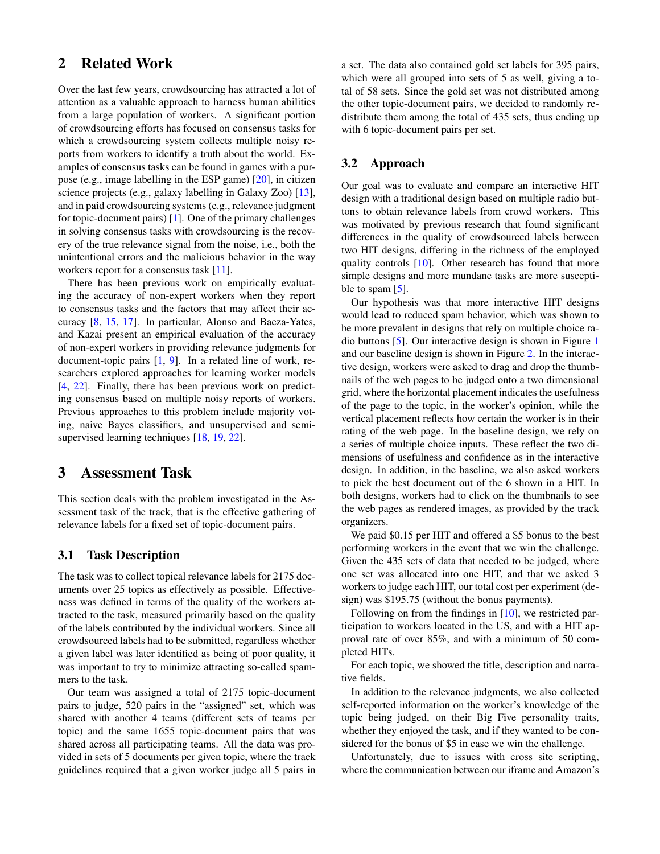## 2 Related Work

Over the last few years, crowdsourcing has attracted a lot of attention as a valuable approach to harness human abilities from a large population of workers. A significant portion of crowdsourcing efforts has focused on consensus tasks for which a crowdsourcing system collects multiple noisy reports from workers to identify a truth about the world. Examples of consensus tasks can be found in games with a purpose (e.g., image labelling in the ESP game) [\[20\]](#page-7-5), in citizen science projects (e.g., galaxy labelling in Galaxy Zoo) [\[13\]](#page-7-6), and in paid crowdsourcing systems (e.g., relevance judgment for topic-document pairs) [\[1\]](#page-6-1). One of the primary challenges in solving consensus tasks with crowdsourcing is the recovery of the true relevance signal from the noise, i.e., both the unintentional errors and the malicious behavior in the way workers report for a consensus task [\[11\]](#page-7-7).

There has been previous work on empirically evaluating the accuracy of non-expert workers when they report to consensus tasks and the factors that may affect their accuracy [\[8,](#page-6-7) [15,](#page-7-1) [17\]](#page-7-8). In particular, Alonso and Baeza-Yates, and Kazai present an empirical evaluation of the accuracy of non-expert workers in providing relevance judgments for document-topic pairs [\[1,](#page-6-1) [9\]](#page-6-8). In a related line of work, researchers explored approaches for learning worker models [\[4,](#page-6-9) [22\]](#page-7-9). Finally, there has been previous work on predicting consensus based on multiple noisy reports of workers. Previous approaches to this problem include majority voting, naive Bayes classifiers, and unsupervised and semisupervised learning techniques [\[18,](#page-7-10) [19,](#page-7-11) [22\]](#page-7-9).

## 3 Assessment Task

This section deals with the problem investigated in the Assessment task of the track, that is the effective gathering of relevance labels for a fixed set of topic-document pairs.

### 3.1 Task Description

The task was to collect topical relevance labels for 2175 documents over 25 topics as effectively as possible. Effectiveness was defined in terms of the quality of the workers attracted to the task, measured primarily based on the quality of the labels contributed by the individual workers. Since all crowdsourced labels had to be submitted, regardless whether a given label was later identified as being of poor quality, it was important to try to minimize attracting so-called spammers to the task.

Our team was assigned a total of 2175 topic-document pairs to judge, 520 pairs in the "assigned" set, which was shared with another 4 teams (different sets of teams per topic) and the same 1655 topic-document pairs that was shared across all participating teams. All the data was provided in sets of 5 documents per given topic, where the track guidelines required that a given worker judge all 5 pairs in a set. The data also contained gold set labels for 395 pairs, which were all grouped into sets of 5 as well, giving a total of 58 sets. Since the gold set was not distributed among the other topic-document pairs, we decided to randomly redistribute them among the total of 435 sets, thus ending up with 6 topic-document pairs per set.

### 3.2 Approach

Our goal was to evaluate and compare an interactive HIT design with a traditional design based on multiple radio buttons to obtain relevance labels from crowd workers. This was motivated by previous research that found significant differences in the quality of crowdsourced labels between two HIT designs, differing in the richness of the employed quality controls [\[10\]](#page-6-4). Other research has found that more simple designs and more mundane tasks are more suscepti-ble to spam [\[5\]](#page-6-6).

Our hypothesis was that more interactive HIT designs would lead to reduced spam behavior, which was shown to be more prevalent in designs that rely on multiple choice radio buttons [\[5\]](#page-6-6). Our interactive design is shown in Figure [1](#page-2-0) and our baseline design is shown in Figure [2.](#page-2-1) In the interactive design, workers were asked to drag and drop the thumbnails of the web pages to be judged onto a two dimensional grid, where the horizontal placement indicates the usefulness of the page to the topic, in the worker's opinion, while the vertical placement reflects how certain the worker is in their rating of the web page. In the baseline design, we rely on a series of multiple choice inputs. These reflect the two dimensions of usefulness and confidence as in the interactive design. In addition, in the baseline, we also asked workers to pick the best document out of the 6 shown in a HIT. In both designs, workers had to click on the thumbnails to see the web pages as rendered images, as provided by the track organizers.

We paid \$0.15 per HIT and offered a \$5 bonus to the best performing workers in the event that we win the challenge. Given the 435 sets of data that needed to be judged, where one set was allocated into one HIT, and that we asked 3 workers to judge each HIT, our total cost per experiment (design) was \$195.75 (without the bonus payments).

Following on from the findings in [\[10\]](#page-6-4), we restricted participation to workers located in the US, and with a HIT approval rate of over 85%, and with a minimum of 50 completed HITs.

For each topic, we showed the title, description and narrative fields.

In addition to the relevance judgments, we also collected self-reported information on the worker's knowledge of the topic being judged, on their Big Five personality traits, whether they enjoyed the task, and if they wanted to be considered for the bonus of \$5 in case we win the challenge.

Unfortunately, due to issues with cross site scripting, where the communication between our iframe and Amazon's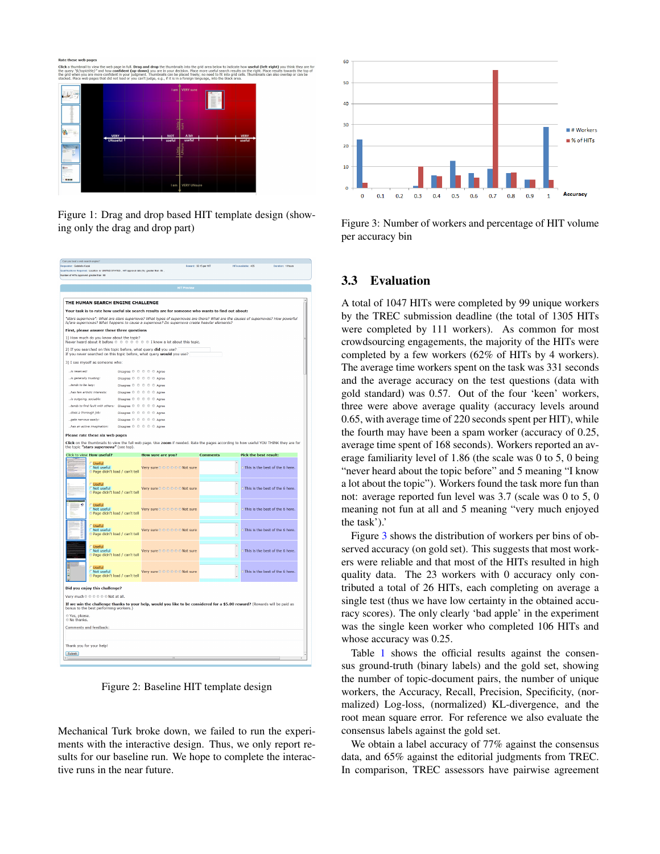late these web page

<span id="page-2-0"></span>Figure 1: Drag and drop based HIT template design (showing only the drag and drop part)

| Can you beat a web search engine?                                                                                                                                     | Reward: \$0.15 per HTT       |                 | HITs available: 435             | Duration: 1 Hours |  |  |  |  |  |  |
|-----------------------------------------------------------------------------------------------------------------------------------------------------------------------|------------------------------|-----------------|---------------------------------|-------------------|--|--|--|--|--|--|
| Requester: Gabriella Kaza<br>Justifications Required: Location is UNITED STATES. HIT approval rate (%) greater than 85.                                               |                              |                 |                                 |                   |  |  |  |  |  |  |
| lumber of HTTs Approved greater than 50                                                                                                                               |                              |                 |                                 |                   |  |  |  |  |  |  |
|                                                                                                                                                                       |                              |                 |                                 |                   |  |  |  |  |  |  |
|                                                                                                                                                                       | <b>HIT Preview</b>           |                 |                                 |                   |  |  |  |  |  |  |
|                                                                                                                                                                       |                              |                 |                                 |                   |  |  |  |  |  |  |
| THE HUMAN SEARCH ENGINE CHALLENGE                                                                                                                                     |                              |                 |                                 |                   |  |  |  |  |  |  |
| Your task is to rate how useful six search results are for someone who wants to find out about:                                                                       |                              |                 |                                 |                   |  |  |  |  |  |  |
| "stars supernova": What are stars supernova? What types of supernovas are there? What are the causes of supernovas? How powerful                                      |                              |                 |                                 |                   |  |  |  |  |  |  |
| is/are supernovas? What happens to cause a supernova? Do supernova create heavier elements?                                                                           |                              |                 |                                 |                   |  |  |  |  |  |  |
| First, please answer these three questions                                                                                                                            |                              |                 |                                 |                   |  |  |  |  |  |  |
| 1) How much do you know about the topic?<br>Never heard about it before $\oplus$ $\oplus$ $\oplus$ $\oplus$ $\oplus$ $\oplus$ $\oplus$ I know a lot about this topic. |                              |                 |                                 |                   |  |  |  |  |  |  |
| 2) If you searched on this topic before, what query did you use?<br>If you never searched on this topic before, what query would you use?                             |                              |                 |                                 |                   |  |  |  |  |  |  |
| 3) I see myself as someone who:                                                                                                                                       |                              |                 |                                 |                   |  |  |  |  |  |  |
| is reserved:<br>Disagree $\oplus$ $\oplus$ $\oplus$ $\oplus$ $\oplus$ Agree                                                                                           |                              |                 |                                 |                   |  |  |  |  |  |  |
| Disagree © © © © © Agree<br>is generally trusting:                                                                                                                    |                              |                 |                                 |                   |  |  |  |  |  |  |
| Disagree $0 \ 0 \ 0 \ 0 \ 0$ Agree<br>tends to be lazy:                                                                                                               |                              |                 |                                 |                   |  |  |  |  |  |  |
| has few artistic interests:<br>Disagree $\mathfrak{D} \mathfrak{D} \mathfrak{D} \mathfrak{D} \mathfrak{D}$ Agree                                                      |                              |                 |                                 |                   |  |  |  |  |  |  |
| is outgoing, sociable:<br>Disagree (0 (0 (0 (0 Agree                                                                                                                  |                              |                 |                                 |                   |  |  |  |  |  |  |
| tends to find fault with others:  Disagree $0 \ 0 \ 0 \ 0 \ 0$ Agree                                                                                                  |                              |                 |                                 |                   |  |  |  |  |  |  |
| does a thorough job:<br>Disagree (0 (0 (0 (0 Agree                                                                                                                    |                              |                 |                                 |                   |  |  |  |  |  |  |
| Disagree (0 (0 (0 (0 Agree<br>gets nervous easily:                                                                                                                    |                              |                 |                                 |                   |  |  |  |  |  |  |
| Disagree $0 \ 0 \ 0 \ 0 \ 0$ Agree<br>has an active imagination:                                                                                                      |                              |                 |                                 |                   |  |  |  |  |  |  |
| Please rate these six web pages                                                                                                                                       |                              |                 |                                 |                   |  |  |  |  |  |  |
| Click on the thumbnalls to view the full web page. Use zoom if needed. Rate the pages according to how useful YOU THINK they are for                                  |                              |                 |                                 |                   |  |  |  |  |  |  |
| the topic "stars supernova" (see top).                                                                                                                                |                              |                 |                                 |                   |  |  |  |  |  |  |
| Click to view How useful?                                                                                                                                             | How sure are you?            | <b>Comments</b> | <b>Pick the best result:</b>    |                   |  |  |  |  |  |  |
| <b>Useful</b><br>Not useful<br>O Page didn't load / can't tell                                                                                                        | Very sure 0 0 0 0 0 Not sure |                 | This is the best of the 6 here. |                   |  |  |  |  |  |  |
| <b>Useful</b><br>Not useful<br>Page didn't load / can't tell                                                                                                          | Very sure o o o o o Not sure |                 | This is the best of the 6 here. |                   |  |  |  |  |  |  |
| ¢<br>Useful<br>Not useful<br>O Page didn't load / can't tell                                                                                                          | Very sure 0 0 0 0 0 Not sure |                 | This is the best of the 6 here. |                   |  |  |  |  |  |  |
| <b>Useful</b><br>Not useful<br>Page didn't load / can't tell                                                                                                          | Very sure o o o o o Not sure |                 | This is the best of the 6 here. |                   |  |  |  |  |  |  |
| <b>Useful</b><br>Not useful<br>Page didn't load / can't tell                                                                                                          | Very sure 0 0 0 0 0 Not sure |                 | This is the best of the 6 here. |                   |  |  |  |  |  |  |
| <b>Useful</b><br>Not useful<br>Page didn't load / can't tell                                                                                                          | Very sure o o o o o Not sure |                 | This is the best of the 6 here. |                   |  |  |  |  |  |  |
| Did you enjoy this challenge?                                                                                                                                         |                              |                 |                                 |                   |  |  |  |  |  |  |
| Very much $0 \in \oplus \oplus \oplus \oplus$ Not at all.                                                                                                             |                              |                 |                                 |                   |  |  |  |  |  |  |
| If we win the challenge thanks to your help, would you like to be considered for a \$5.00 reward? (Rewards will be paid as<br>bonus to the best performing workers.)  |                              |                 |                                 |                   |  |  |  |  |  |  |
| e Yes, please.<br><b>ONo thanks.</b>                                                                                                                                  |                              |                 |                                 |                   |  |  |  |  |  |  |
| Comments and feedback:                                                                                                                                                |                              |                 |                                 |                   |  |  |  |  |  |  |
|                                                                                                                                                                       |                              |                 |                                 |                   |  |  |  |  |  |  |
|                                                                                                                                                                       |                              |                 |                                 |                   |  |  |  |  |  |  |
| Thank you for your help!                                                                                                                                              |                              |                 |                                 |                   |  |  |  |  |  |  |
| Submit                                                                                                                                                                |                              |                 |                                 |                   |  |  |  |  |  |  |
|                                                                                                                                                                       |                              |                 |                                 |                   |  |  |  |  |  |  |

<span id="page-2-1"></span>Figure 2: Baseline HIT template design

Mechanical Turk broke down, we failed to run the experiments with the interactive design. Thus, we only report results for our baseline run. We hope to complete the interactive runs in the near future.



<span id="page-2-2"></span>Figure 3: Number of workers and percentage of HIT volume per accuracy bin

## 3.3 Evaluation

A total of 1047 HITs were completed by 99 unique workers by the TREC submission deadline (the total of 1305 HITs were completed by 111 workers). As common for most crowdsourcing engagements, the majority of the HITs were completed by a few workers (62% of HITs by 4 workers). The average time workers spent on the task was 331 seconds and the average accuracy on the test questions (data with gold standard) was 0.57. Out of the four 'keen' workers, three were above average quality (accuracy levels around 0.65, with average time of 220 seconds spent per HIT), while the fourth may have been a spam worker (accuracy of 0.25, average time spent of 168 seconds). Workers reported an average familiarity level of 1.86 (the scale was 0 to 5, 0 being "never heard about the topic before" and 5 meaning "I know a lot about the topic"). Workers found the task more fun than not: average reported fun level was 3.7 (scale was 0 to 5, 0 meaning not fun at all and 5 meaning "very much enjoyed the task').'

Figure [3](#page-2-2) shows the distribution of workers per bins of observed accuracy (on gold set). This suggests that most workers were reliable and that most of the HITs resulted in high quality data. The 23 workers with 0 accuracy only contributed a total of 26 HITs, each completing on average a single test (thus we have low certainty in the obtained accuracy scores). The only clearly 'bad apple' in the experiment was the single keen worker who completed 106 HITs and whose accuracy was 0.25.

Table [1](#page-3-0) shows the official results against the consensus ground-truth (binary labels) and the gold set, showing the number of topic-document pairs, the number of unique workers, the Accuracy, Recall, Precision, Specificity, (normalized) Log-loss, (normalized) KL-divergence, and the root mean square error. For reference we also evaluate the consensus labels against the gold set.

We obtain a label accuracy of 77% against the consensus data, and 65% against the editorial judgments from TREC. In comparison, TREC assessors have pairwise agreement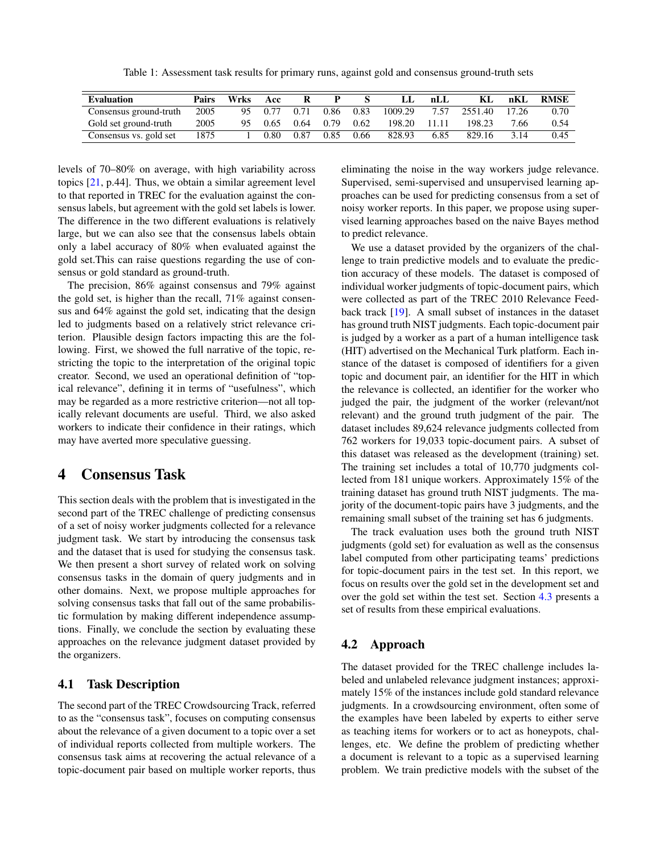<span id="page-3-0"></span>Table 1: Assessment task results for primary runs, against gold and consensus ground-truth sets

| <b>Evaluation</b>      | Pairs | <b>Wrks</b> | Acc            | R    | P    |      | IJ      | nLI   | KL.     | nKL   | <b>RMSE</b> |
|------------------------|-------|-------------|----------------|------|------|------|---------|-------|---------|-------|-------------|
| Consensus ground-truth | 2005  | 95          | 0.77           | 0.71 | 0.86 | 0.83 | 1009.29 | 7.57  | 2551.40 | 17.26 | 0.70        |
| Gold set ground-truth  | 2005  | 95          | 0.65           | 0.64 | 0.79 | 0.62 | 198.20  | 11.11 | 198.23  | 7.66  | 0.54        |
| Consensus vs. gold set | 1875  |             | $0.80^{\circ}$ | 0.87 | 0.85 | 0.66 | 828.93  | 6.85  | 829.16  | 3 1 4 | 0.45        |

levels of 70–80% on average, with high variability across topics [\[21,](#page-7-12) p.44]. Thus, we obtain a similar agreement level to that reported in TREC for the evaluation against the consensus labels, but agreement with the gold set labels is lower. The difference in the two different evaluations is relatively large, but we can also see that the consensus labels obtain only a label accuracy of 80% when evaluated against the gold set.This can raise questions regarding the use of consensus or gold standard as ground-truth.

The precision, 86% against consensus and 79% against the gold set, is higher than the recall, 71% against consensus and 64% against the gold set, indicating that the design led to judgments based on a relatively strict relevance criterion. Plausible design factors impacting this are the following. First, we showed the full narrative of the topic, restricting the topic to the interpretation of the original topic creator. Second, we used an operational definition of "topical relevance", defining it in terms of "usefulness", which may be regarded as a more restrictive criterion—not all topically relevant documents are useful. Third, we also asked workers to indicate their confidence in their ratings, which may have averted more speculative guessing.

## 4 Consensus Task

This section deals with the problem that is investigated in the second part of the TREC challenge of predicting consensus of a set of noisy worker judgments collected for a relevance judgment task. We start by introducing the consensus task and the dataset that is used for studying the consensus task. We then present a short survey of related work on solving consensus tasks in the domain of query judgments and in other domains. Next, we propose multiple approaches for solving consensus tasks that fall out of the same probabilistic formulation by making different independence assumptions. Finally, we conclude the section by evaluating these approaches on the relevance judgment dataset provided by the organizers.

### 4.1 Task Description

The second part of the TREC Crowdsourcing Track, referred to as the "consensus task", focuses on computing consensus about the relevance of a given document to a topic over a set of individual reports collected from multiple workers. The consensus task aims at recovering the actual relevance of a topic-document pair based on multiple worker reports, thus

eliminating the noise in the way workers judge relevance. Supervised, semi-supervised and unsupervised learning approaches can be used for predicting consensus from a set of noisy worker reports. In this paper, we propose using supervised learning approaches based on the naive Bayes method to predict relevance.

We use a dataset provided by the organizers of the challenge to train predictive models and to evaluate the prediction accuracy of these models. The dataset is composed of individual worker judgments of topic-document pairs, which were collected as part of the TREC 2010 Relevance Feedback track [\[19\]](#page-7-11). A small subset of instances in the dataset has ground truth NIST judgments. Each topic-document pair is judged by a worker as a part of a human intelligence task (HIT) advertised on the Mechanical Turk platform. Each instance of the dataset is composed of identifiers for a given topic and document pair, an identifier for the HIT in which the relevance is collected, an identifier for the worker who judged the pair, the judgment of the worker (relevant/not relevant) and the ground truth judgment of the pair. The dataset includes 89,624 relevance judgments collected from 762 workers for 19,033 topic-document pairs. A subset of this dataset was released as the development (training) set. The training set includes a total of 10,770 judgments collected from 181 unique workers. Approximately 15% of the training dataset has ground truth NIST judgments. The majority of the document-topic pairs have 3 judgments, and the remaining small subset of the training set has 6 judgments.

The track evaluation uses both the ground truth NIST judgments (gold set) for evaluation as well as the consensus label computed from other participating teams' predictions for topic-document pairs in the test set. In this report, we focus on results over the gold set in the development set and over the gold set within the test set. Section [4.3](#page-5-0) presents a set of results from these empirical evaluations.

### 4.2 Approach

The dataset provided for the TREC challenge includes labeled and unlabeled relevance judgment instances; approximately 15% of the instances include gold standard relevance judgments. In a crowdsourcing environment, often some of the examples have been labeled by experts to either serve as teaching items for workers or to act as honeypots, challenges, etc. We define the problem of predicting whether a document is relevant to a topic as a supervised learning problem. We train predictive models with the subset of the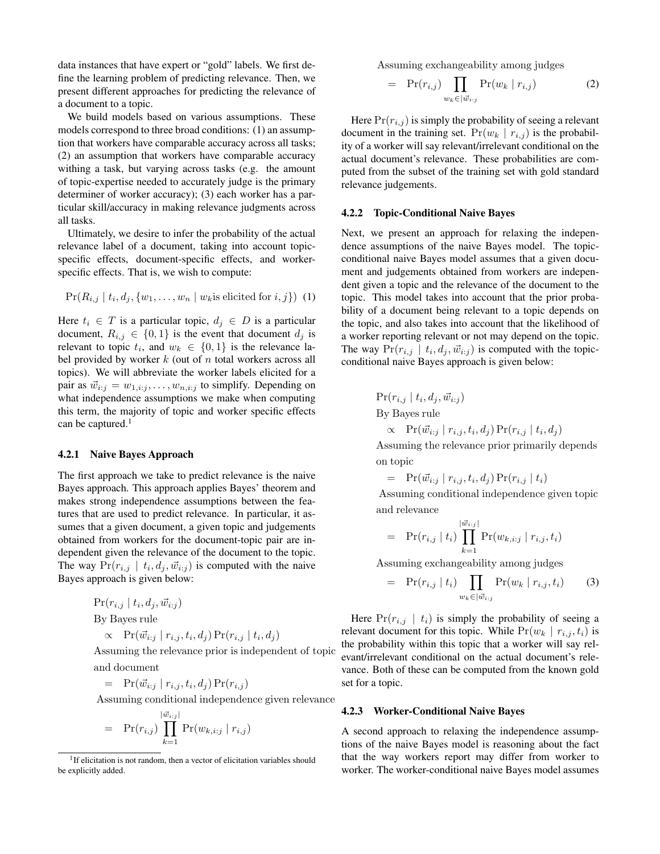data instances that have expert or "gold" labels. We first define the learning problem of predicting relevance. Then, we present different approaches for predicting the relevance of a document to a topic.

We build models based on various assumptions. These models correspond to three broad conditions: (1) an assumption that workers have comparable accuracy across all tasks; (2) an assumption that workers have comparable accuracy withing a task, but varying across tasks (e.g. the amount of topic-expertise needed to accurately judge is the primary determiner of worker accuracy); (3) each worker has a particular skill/accuracy in making relevance judgments across all tasks.

Ultimately, we desire to infer the probability of the actual relevance label of a document, taking into account topicspecific effects, document-specific effects, and workerspecific effects. That is, we wish to compute:

$$
Pr(R_{i,j} | t_i, d_j, \{w_1, \ldots, w_n | w_k \text{ is elicited for } i, j\}) \tag{1}
$$

Here  $t_i \in T$  is a particular topic,  $d_j \in D$  is a particular document,  $R_{i,j} \in \{0,1\}$  is the event that document  $d_j$  is relevant to topic  $t_i$ , and  $w_k \in \{0, 1\}$  is the relevance label provided by worker  $k$  (out of  $n$  total workers across all topics). We will abbreviate the worker labels elicited for a pair as  $\vec{w}_{i:j} = w_{1,i:j}, \ldots, w_{n,i:j}$  to simplify. Depending on what independence assumptions we make when computing this term, the majority of topic and worker specific effects can be captured.<sup>1</sup>

#### 4.2.1 Naive Bayes Approach

The first approach we take to predict relevance is the naive Bayes approach. This approach applies Bayes' theorem and makes strong independence assumptions between the features that are used to predict relevance. In particular, it assumes that a given document, a given topic and judgements obtained from workers for the document-topic pair are independent given the relevance of the document to the topic. The way  $Pr(r_{i,j} | t_i, d_j, \vec{w}_{i:j})$  is computed with the naive Bayes approach is given below:

$$
\Pr(r_{i,j} \mid t_i, d_j, \vec{w}_{i:j})
$$
  
By Bayes rule  

$$
\propto \Pr(\vec{w}_{i:j} \mid r_{i,j}, t_i, d_j) \Pr(r_{i,j} \mid t_i, d_j)
$$

Assuming the relevance prior is independent of topic and document

 $= \Pr(\vec{w}_{i:j} | r_{i,j}, t_i, d_j) \Pr(r_{i,j})$ 

Assuming conditional independence given relevance

$$
= \Pr(r_{i,j}) \prod_{k=1}^{|\vec{w}_{i:j}|} \Pr(w_{k,i:j} | r_{i,j})
$$

Assuming exchangeability among judges

$$
= \Pr(r_{i,j}) \prod_{w_k \in |\vec{w}_{i:j}} \Pr(w_k | r_{i,j}) \tag{2}
$$

Here  $Pr(r_{i,j})$  is simply the probability of seeing a relevant document in the training set.  $Pr(w_k | r_{i,j})$  is the probability of a worker will say relevant/irrelevant conditional on the actual document's relevance. These probabilities are computed from the subset of the training set with gold standard relevance judgements.

#### 4.2.2 Topic-Conditional Naive Bayes

Next, we present an approach for relaxing the independence assumptions of the naive Bayes model. The topicconditional naive Bayes model assumes that a given document and judgements obtained from workers are independent given a topic and the relevance of the document to the topic. This model takes into account that the prior probability of a document being relevant to a topic depends on the topic, and also takes into account that the likelihood of a worker reporting relevant or not may depend on the topic. The way  $Pr(r_{i,j} \mid t_i, d_j, \vec{w}_{i:j})$  is computed with the topicconditional naive Bayes approach is given below:

$$
\Pr(r_{i,j} | t_i, d_j, \vec{w}_{i:j})
$$
  
By Bayes rule  

$$
\propto \Pr(\vec{w}_{i:j} | r_{i,j}, t_i, d_j) \Pr(r_{i,j} | t_i, d_j)
$$

Assuming the relevance prior primarily depends on topic

$$
= \Pr(\vec{w}_{i:j} \mid r_{i,j}, t_i, d_j) \Pr(r_{i,j} \mid t_i)
$$

Assuming conditional independence given topic and relevance

$$
= \Pr(r_{i,j} | t_i) \prod_{k=1}^{|\vec{w}_{i,j}|} \Pr(w_{k,i:j} | r_{i,j}, t_i)
$$

Assuming exchangeability among judges

$$
= \Pr(r_{i,j} \mid t_i) \prod_{w_k \in |\vec{w}_{i:j}} \Pr(w_k \mid r_{i,j}, t_i)
$$
 (3)

Here  $Pr(r_{i,j} | t_i)$  is simply the probability of seeing a relevant document for this topic. While  $Pr(w_k | r_{i,j}, t_i)$  is the probability within this topic that a worker will say relevant/irrelevant conditional on the actual document's relevance. Both of these can be computed from the known gold set for a topic.

#### 4.2.3 Worker-Conditional Naive Bayes

A second approach to relaxing the independence assumptions of the naive Bayes model is reasoning about the fact that the way workers report may differ from worker to worker. The worker-conditional naive Bayes model assumes

<sup>&</sup>lt;sup>1</sup>If elicitation is not random, then a vector of elicitation variables should be explicitly added.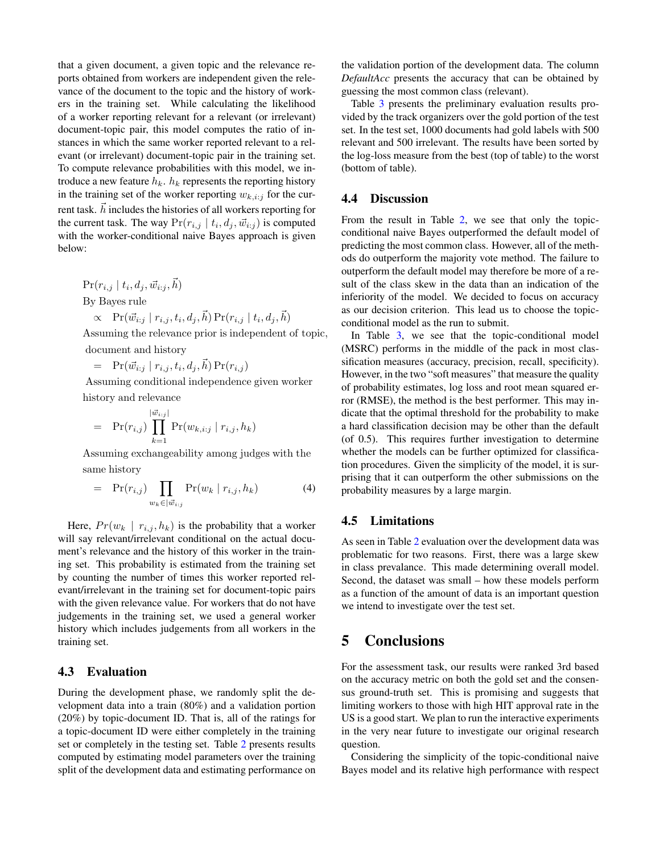that a given document, a given topic and the relevance reports obtained from workers are independent given the relevance of the document to the topic and the history of workers in the training set. While calculating the likelihood of a worker reporting relevant for a relevant (or irrelevant) document-topic pair, this model computes the ratio of instances in which the same worker reported relevant to a relevant (or irrelevant) document-topic pair in the training set. To compute relevance probabilities with this model, we introduce a new feature  $h_k$ .  $h_k$  represents the reporting history in the training set of the worker reporting  $w_{k,i:j}$  for the current task.  $\vec{h}$  includes the histories of all workers reporting for the current task. The way  $Pr(r_{i,j} | t_i, d_j, \vec{w}_{i:j})$  is computed with the worker-conditional naive Bayes approach is given below:

$$
\Pr(r_{i,j} \mid t_i, d_j, \vec{w}_{i:j}, \vec{h})
$$
  
By Bayes rule  

$$
\propto \Pr(\vec{w}_{i:j} \mid r_{i,j}, t_i, d_j, \vec{h}) \Pr(r_{i,j} \mid t_i, d_j, \vec{h})
$$

Assuming the relevance prior is independent of topic, document and history

 $= \Pr(\vec{w}_{i:j} | r_{i,j}, t_i, d_j, \vec{h}) \Pr(r_{i,j})$ 

Assuming conditional independence given worker history and relevance

$$
= \Pr(r_{i,j}) \prod_{k=1}^{|\vec{w}_{i:j}|} \Pr(w_{k,i:j} | r_{i,j}, h_k)
$$

Assuming exchangeability among judges with the same history

$$
= \Pr(r_{i,j}) \prod_{w_k \in |\vec{w}_{i:j}} \Pr(w_k \mid r_{i,j}, h_k)
$$
 (4)

Here,  $Pr(w_k | r_{i,j}, h_k)$  is the probability that a worker will say relevant/irrelevant conditional on the actual document's relevance and the history of this worker in the training set. This probability is estimated from the training set by counting the number of times this worker reported relevant/irrelevant in the training set for document-topic pairs with the given relevance value. For workers that do not have judgements in the training set, we used a general worker history which includes judgements from all workers in the training set.

#### <span id="page-5-0"></span>4.3 Evaluation

During the development phase, we randomly split the development data into a train (80%) and a validation portion (20%) by topic-document ID. That is, all of the ratings for a topic-document ID were either completely in the training set or completely in the testing set. Table [2](#page-6-10) presents results computed by estimating model parameters over the training split of the development data and estimating performance on

the validation portion of the development data. The column *DefaultAcc* presents the accuracy that can be obtained by guessing the most common class (relevant).

Table [3](#page-6-11) presents the preliminary evaluation results provided by the track organizers over the gold portion of the test set. In the test set, 1000 documents had gold labels with 500 relevant and 500 irrelevant. The results have been sorted by the log-loss measure from the best (top of table) to the worst (bottom of table).

## 4.4 Discussion

From the result in Table [2,](#page-6-10) we see that only the topicconditional naive Bayes outperformed the default model of predicting the most common class. However, all of the methods do outperform the majority vote method. The failure to outperform the default model may therefore be more of a result of the class skew in the data than an indication of the inferiority of the model. We decided to focus on accuracy as our decision criterion. This lead us to choose the topicconditional model as the run to submit.

In Table [3,](#page-6-11) we see that the topic-conditional model (MSRC) performs in the middle of the pack in most classification measures (accuracy, precision, recall, specificity). However, in the two "soft measures" that measure the quality of probability estimates, log loss and root mean squared error (RMSE), the method is the best performer. This may indicate that the optimal threshold for the probability to make a hard classification decision may be other than the default (of 0.5). This requires further investigation to determine whether the models can be further optimized for classification procedures. Given the simplicity of the model, it is surprising that it can outperform the other submissions on the probability measures by a large margin.

#### 4.5 Limitations

As seen in Table [2](#page-6-10) evaluation over the development data was problematic for two reasons. First, there was a large skew in class prevalance. This made determining overall model. Second, the dataset was small – how these models perform as a function of the amount of data is an important question we intend to investigate over the test set.

## 5 Conclusions

For the assessment task, our results were ranked 3rd based on the accuracy metric on both the gold set and the consensus ground-truth set. This is promising and suggests that limiting workers to those with high HIT approval rate in the US is a good start. We plan to run the interactive experiments in the very near future to investigate our original research question.

Considering the simplicity of the topic-conditional naive Bayes model and its relative high performance with respect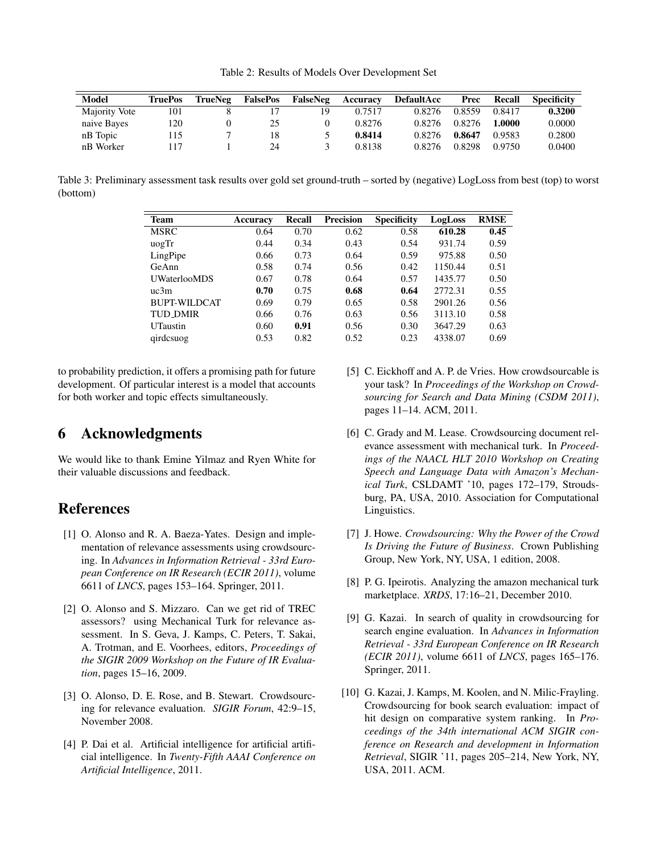<span id="page-6-10"></span>Table 2: Results of Models Over Development Set

| <b>Model</b>  | TruePos | TrueNeg | <b>FalsePos</b> | FalseNeg | Accuracy | <b>DefaultAcc</b> | Prec   | Recall | <b>Specificity</b> |
|---------------|---------|---------|-----------------|----------|----------|-------------------|--------|--------|--------------------|
| Majority Vote | 101     |         |                 | 19       | 0.7517   | 0.8276            | 0.8559 | 0.8417 | 0.3200             |
| naive Bayes   | 120     |         | 25              |          | 0.8276   | 0.8276            | 0.8276 | 1.0000 | 0.0000             |
| nB Topic      | l 15    |         | 18              |          | 0.8414   | 0.8276            | 0.8647 | 0.9583 | 0.2800             |
| nB Worker     | 17ء     |         | 24              |          | 0.8138   | 0.8276            | 0.8298 | 0.9750 | 0.0400             |

<span id="page-6-11"></span>Table 3: Preliminary assessment task results over gold set ground-truth – sorted by (negative) LogLoss from best (top) to worst (bottom)

| <b>Team</b>         | Accuracy | <b>Recall</b> | <b>Precision</b> | <b>Specificity</b> | LogLoss | <b>RMSE</b> |
|---------------------|----------|---------------|------------------|--------------------|---------|-------------|
| <b>MSRC</b>         | 0.64     | 0.70          | 0.62             | 0.58               | 610.28  | 0.45        |
| uogTr               | 0.44     | 0.34          | 0.43             | 0.54               | 931.74  | 0.59        |
| LingPipe            | 0.66     | 0.73          | 0.64             | 0.59               | 975.88  | 0.50        |
| GeAnn               | 0.58     | 0.74          | 0.56             | 0.42               | 1150.44 | 0.51        |
| <b>UWaterlooMDS</b> | 0.67     | 0.78          | 0.64             | 0.57               | 1435.77 | 0.50        |
| uc3m                | 0.70     | 0.75          | 0.68             | 0.64               | 2772.31 | 0.55        |
| <b>BUPT-WILDCAT</b> | 0.69     | 0.79          | 0.65             | 0.58               | 2901.26 | 0.56        |
| <b>TUD_DMIR</b>     | 0.66     | 0.76          | 0.63             | 0.56               | 3113.10 | 0.58        |
| <b>UTaustin</b>     | 0.60     | 0.91          | 0.56             | 0.30               | 3647.29 | 0.63        |
| qirdcsuog           | 0.53     | 0.82          | 0.52             | 0.23               | 4338.07 | 0.69        |

to probability prediction, it offers a promising path for future development. Of particular interest is a model that accounts for both worker and topic effects simultaneously.

# 6 Acknowledgments

We would like to thank Emine Yilmaz and Ryen White for their valuable discussions and feedback.

## References

- <span id="page-6-1"></span>[1] O. Alonso and R. A. Baeza-Yates. Design and implementation of relevance assessments using crowdsourcing. In *Advances in Information Retrieval - 33rd European Conference on IR Research (ECIR 2011)*, volume 6611 of *LNCS*, pages 153–164. Springer, 2011.
- <span id="page-6-5"></span>[2] O. Alonso and S. Mizzaro. Can we get rid of TREC assessors? using Mechanical Turk for relevance assessment. In S. Geva, J. Kamps, C. Peters, T. Sakai, A. Trotman, and E. Voorhees, editors, *Proceedings of the SIGIR 2009 Workshop on the Future of IR Evaluation*, pages 15–16, 2009.
- <span id="page-6-2"></span>[3] O. Alonso, D. E. Rose, and B. Stewart. Crowdsourcing for relevance evaluation. *SIGIR Forum*, 42:9–15, November 2008.
- <span id="page-6-9"></span>[4] P. Dai et al. Artificial intelligence for artificial artificial intelligence. In *Twenty-Fifth AAAI Conference on Artificial Intelligence*, 2011.
- <span id="page-6-6"></span>[5] C. Eickhoff and A. P. de Vries. How crowdsourcable is your task? In *Proceedings of the Workshop on Crowdsourcing for Search and Data Mining (CSDM 2011)*, pages 11–14. ACM, 2011.
- <span id="page-6-3"></span>[6] C. Grady and M. Lease. Crowdsourcing document relevance assessment with mechanical turk. In *Proceedings of the NAACL HLT 2010 Workshop on Creating Speech and Language Data with Amazon's Mechanical Turk*, CSLDAMT '10, pages 172–179, Stroudsburg, PA, USA, 2010. Association for Computational Linguistics.
- <span id="page-6-0"></span>[7] J. Howe. *Crowdsourcing: Why the Power of the Crowd Is Driving the Future of Business*. Crown Publishing Group, New York, NY, USA, 1 edition, 2008.
- <span id="page-6-7"></span>[8] P. G. Ipeirotis. Analyzing the amazon mechanical turk marketplace. *XRDS*, 17:16–21, December 2010.
- <span id="page-6-8"></span>[9] G. Kazai. In search of quality in crowdsourcing for search engine evaluation. In *Advances in Information Retrieval - 33rd European Conference on IR Research (ECIR 2011)*, volume 6611 of *LNCS*, pages 165–176. Springer, 2011.
- <span id="page-6-4"></span>[10] G. Kazai, J. Kamps, M. Koolen, and N. Milic-Frayling. Crowdsourcing for book search evaluation: impact of hit design on comparative system ranking. In *Proceedings of the 34th international ACM SIGIR conference on Research and development in Information Retrieval*, SIGIR '11, pages 205–214, New York, NY, USA, 2011. ACM.